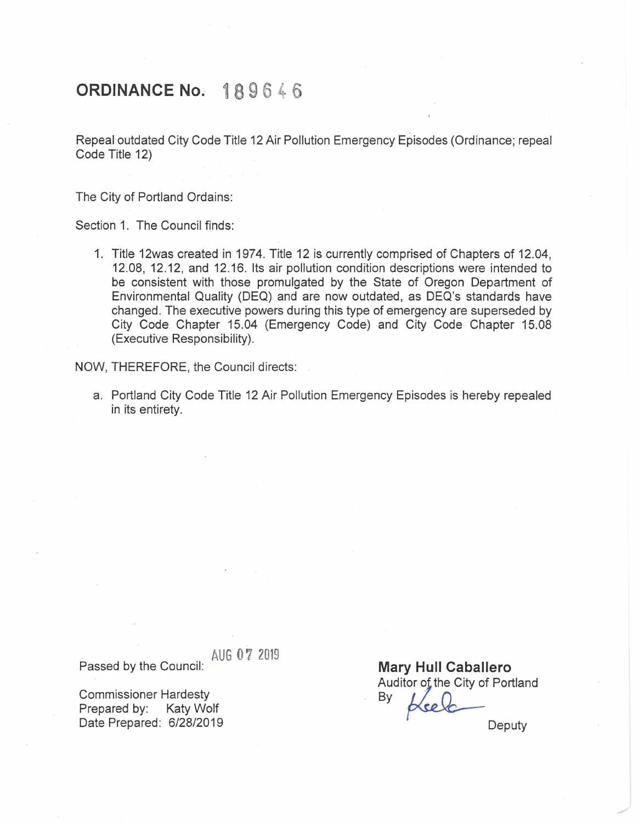## **ORDINANCE No. 189646**

Repeal outdated City Code Title 12 Air Pollution Emergency Episodes (Ordinance; repeal Code Title 12)

The City of Portland Ordains:

Section 1. The Council finds:

1. Title 12was created in 1974. Title 12 is currently comprised of Chapters of 12.04, 12.08, 12.12, and 12.16. Its air pollution condition descriptions were intended to be consistent with those promulgated by the State of Oregon Department of Environmental Quality (DEQ) and are now outdated, as DEQ's standards have changed. The executive powers during this type of emergency are superseded by City Code Chapter 15.04 (Emergency Code) and City Code Chapter 15.08 (Executive Responsibility).

NOW, THEREFORE, the Council directs:

a. Portland City Code Title 12 Air Pollution Emergency Episodes is hereby repealed in its entirety.

AUG **O** 7 2019 Passed by the Council:

Commissioner Hardesty Prepared by: Katy Wolf Date Prepared: 6/28/2019

**Mary Hull Caballero**  Auditor of the City of Portland By

Deputy